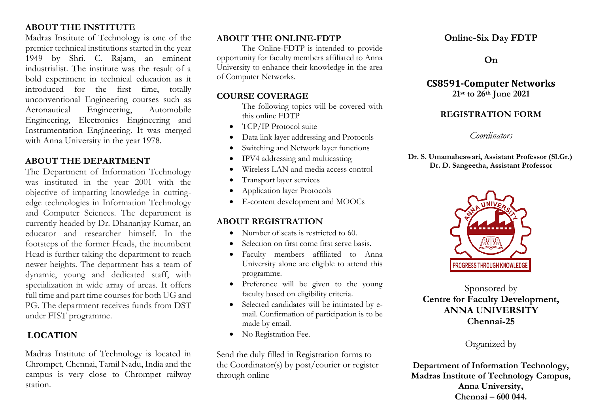# **ABOUT THE INSTITUTE**

Madras Institute of Technology is one of the premier technical institutions started in the year 1949 by Shri. C. Rajam, an eminent industrialist. The institute was the result of a bold experiment in technical education as it introduced for the first time, totally unconventional Engineering courses such as Aeronautical Engineering, Automobile Engineering, Electronics Engineering and Instrumentation Engineering. It was merged with Anna University in the year 1978.

## **ABOUT THE DEPARTMENT**

The Department of Information Technology was instituted in the year 2001 with the objective of imparting knowledge in cuttingedge technologies in Information Technology and Computer Sciences. The department is currently headed by Dr. Dhananjay Kumar, an educator and researcher himself. In the footsteps of the former Heads, the incumbent Head is further taking the department to reach newer heights. The department has a team of dynamic, young and dedicated staff, with specialization in wide array of areas. It offers full time and part time courses for both UG and PG. The department receives funds from DST under FIST programme.

# **LOCATION**

Madras Institute of Technology is located in Chrompet, Chennai, Tamil Nadu, India and the campus is very close to Chrompet railway station.

#### **ABOUT THE ONLINE-FDTP**

The Online-FDTP is intended to provide opportunity for faculty members affiliated to Anna University to enhance their knowledge in the area of Computer Networks.

#### **COURSE COVERAGE**

The following topics will be covered with this online FDTP

- TCP/IP Protocol suite
- Data link layer addressing and Protocols
- Switching and Network layer functions
- IPV4 addressing and multicasting
- Wireless LAN and media access control
- Transport layer services
- Application layer Protocols
- E-content development and MOOCs

## **ABOUT REGISTRATION**

- Number of seats is restricted to 60.
- Selection on first come first serve basis.
- Faculty members affiliated to Anna University alone are eligible to attend this programme.
- Preference will be given to the young faculty based on eligibility criteria.
- Selected candidates will be intimated by email. Confirmation of participation is to be made by email.
- No Registration Fee.

Send the duly filled in Registration forms to the Coordinator(s) by post/courier or register through online

# **Online-Six Day FDTP**

**On**

#### **CS8591-Computer Networks 21st to 26th June 2021**

## **REGISTRATION FORM**

### *Coordinators*

**Dr. S. Umamaheswari, Assistant Professor (Sl.Gr.) Dr. D. Sangeetha, Assistant Professor**



Sponsored by **Centre for Faculty Development, ANNA UNIVERSITY Chennai-25**

# Organized by

**Department of Information Technology, Madras Institute of Technology Campus, Anna University, Chennai – 600 044.**